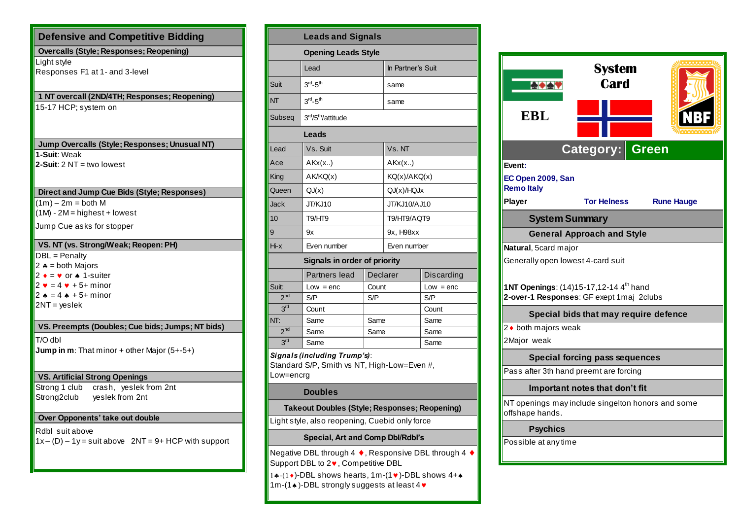| <b>Defensive and Competitive Bidding</b>                                                                                                                                      |  |  |  |  |  |  |  |
|-------------------------------------------------------------------------------------------------------------------------------------------------------------------------------|--|--|--|--|--|--|--|
| <b>Overcalls (Style; Responses; Reopening)</b>                                                                                                                                |  |  |  |  |  |  |  |
| Light style<br>Responses F1 at 1- and 3-level                                                                                                                                 |  |  |  |  |  |  |  |
| 1 NT overcall (2ND/4TH; Responses; Reopening)                                                                                                                                 |  |  |  |  |  |  |  |
| 15-17 HCP; system on                                                                                                                                                          |  |  |  |  |  |  |  |
| Jump Overcalls (Style; Responses; Unusual NT)                                                                                                                                 |  |  |  |  |  |  |  |
| 1-Suit: Weak<br>2-Suit: $2 NT = two lowest$                                                                                                                                   |  |  |  |  |  |  |  |
| Direct and Jump Cue Bids (Style; Responses)                                                                                                                                   |  |  |  |  |  |  |  |
| $(1m) - 2m = both M$<br>$(1M) - 2M =$ highest + lowest                                                                                                                        |  |  |  |  |  |  |  |
| Jump Cue asks for stopper                                                                                                                                                     |  |  |  |  |  |  |  |
| VS. NT (vs. Strong/Weak; Reopen: PH)                                                                                                                                          |  |  |  |  |  |  |  |
| DBL = Penalty<br>$2 * = both Majors$<br>$2 \bullet = \bullet$ or $\bullet$ 1-suiter<br>$2 \times 4 \times 5 +$ minor<br>$2 \bullet = 4 \bullet + 5 +$ minor<br>$2NT = yeslek$ |  |  |  |  |  |  |  |
| VS. Preempts (Doubles; Cue bids; Jumps; NT bids)                                                                                                                              |  |  |  |  |  |  |  |
| T/O dbl<br>Jump in m: That minor + other Major (5+-5+)                                                                                                                        |  |  |  |  |  |  |  |
| <b>VS. Artificial Strong Openings</b>                                                                                                                                         |  |  |  |  |  |  |  |
| Strong 1 club<br>crash, yeslek from 2nt<br>Strong2club<br>yeslek from 2nt                                                                                                     |  |  |  |  |  |  |  |
| Over Opponents' take out double                                                                                                                                               |  |  |  |  |  |  |  |
| Rdbl suit above<br>$1x - (D) - 1y = suit above$ 2NT = 9+ HCP with support                                                                                                     |  |  |  |  |  |  |  |

| <b>Leads and Signals</b>                                                                 |                               |       |                   |             |  |  |  |  |
|------------------------------------------------------------------------------------------|-------------------------------|-------|-------------------|-------------|--|--|--|--|
| <b>Opening Leads Style</b>                                                               |                               |       |                   |             |  |  |  |  |
|                                                                                          | Lead                          |       | In Partner's Suit |             |  |  |  |  |
| Suit                                                                                     | $3rd - 5th$                   |       | same              |             |  |  |  |  |
| <b>NT</b>                                                                                | $3rd - 5th$                   |       | same              |             |  |  |  |  |
| Subseq                                                                                   | 3rd/5 <sup>th</sup> /attitude |       |                   |             |  |  |  |  |
| Leads                                                                                    |                               |       |                   |             |  |  |  |  |
| Lead                                                                                     | Vs. Suit                      |       | Vs. NT            |             |  |  |  |  |
| Ace                                                                                      | AKx(x.)                       |       | AKx(x.)           |             |  |  |  |  |
| King                                                                                     | AK/KQ(x)                      |       | KQ(x)/AKQ(x)      |             |  |  |  |  |
| Queen                                                                                    | QJ(x)                         |       | QJ(x)/HQJx        |             |  |  |  |  |
| Jack                                                                                     | JT/KJ10                       |       | JT/KJ10/AJ10      |             |  |  |  |  |
| 10                                                                                       | T9/HT9                        |       | T9/HT9/AQT9       |             |  |  |  |  |
| 9                                                                                        | 9x                            |       | 9x, H98xx         |             |  |  |  |  |
| $Hi - x$                                                                                 | Even number                   |       | Even number       |             |  |  |  |  |
| <b>Signals in order of priority</b>                                                      |                               |       |                   |             |  |  |  |  |
|                                                                                          | Partners lead<br>Declarer     |       |                   | Discarding  |  |  |  |  |
| Suit:                                                                                    | $Low = enc$                   | Count |                   | $Low = enc$ |  |  |  |  |
| 2 <sup>nd</sup>                                                                          | S/P                           | S/P   |                   | S/P         |  |  |  |  |
| 3 <sup>rd</sup>                                                                          | Count                         |       |                   | Count       |  |  |  |  |
| NT:                                                                                      | Same                          | Same  |                   | Same        |  |  |  |  |
| 2 <sup>nd</sup>                                                                          | Same                          | Same  |                   | Same        |  |  |  |  |
| 3 <sup>rd</sup>                                                                          | Same                          |       |                   | Same        |  |  |  |  |
| Signals (including Trump's):<br>Standard S/P, Smith vs NT, High-Low=Even #,<br>Low=encrg |                               |       |                   |             |  |  |  |  |
| <b>Doubles</b>                                                                           |                               |       |                   |             |  |  |  |  |
| Takeout Doubles (Style; Responses; Reopening)                                            |                               |       |                   |             |  |  |  |  |
| Light style, also reopening, Cuebid only force                                           |                               |       |                   |             |  |  |  |  |
| <b>Special, Art and Comp Dbl/Rdbl's</b>                                                  |                               |       |                   |             |  |  |  |  |

Negative DBL through 4 ♦, Responsive DBL through 4 ♦ Support DBL to  $2\blacktriangledown$ , Competitive DBL

1...(1.)-DBL shows hearts, 1m-(1.)-DBL shows  $4+A$ 1m-(1 $\bullet$ )-DBL strongly suggests at least 4 $\bullet$ 

| <b>EBL</b>                                                                                                                          | <b>System</b><br>Card<br><b>Category:</b> | <b>Green</b> |                   |  |  |  |
|-------------------------------------------------------------------------------------------------------------------------------------|-------------------------------------------|--------------|-------------------|--|--|--|
| Event:                                                                                                                              |                                           |              |                   |  |  |  |
| EC Open 2009, San<br><b>Remo Italy</b>                                                                                              |                                           |              |                   |  |  |  |
| Player                                                                                                                              | <b>Tor Helness</b>                        |              | <b>Rune Hauge</b> |  |  |  |
| <b>System Summary</b>                                                                                                               |                                           |              |                   |  |  |  |
| <b>General Approach and Style</b>                                                                                                   |                                           |              |                   |  |  |  |
| Natural, 5card major                                                                                                                |                                           |              |                   |  |  |  |
| Generally open lowest 4-card suit<br>1NT Openings: (14)15-17,12-14 4 <sup>th</sup> hand<br>2-over-1 Responses: GF exept 1maj 2clubs |                                           |              |                   |  |  |  |
| Special bids that may require defence                                                                                               |                                           |              |                   |  |  |  |
| 2 • both majors weak                                                                                                                |                                           |              |                   |  |  |  |
| 2Major weak                                                                                                                         |                                           |              |                   |  |  |  |
| <b>Special forcing pass sequences</b>                                                                                               |                                           |              |                   |  |  |  |
| Pass after 3th hand preemt are forcing                                                                                              |                                           |              |                   |  |  |  |
| Important notes that don't fit                                                                                                      |                                           |              |                   |  |  |  |
| NT openings may include singelton honors and some<br>offshape hands.                                                                |                                           |              |                   |  |  |  |
| <b>Psychics</b>                                                                                                                     |                                           |              |                   |  |  |  |
| Possible at any time                                                                                                                |                                           |              |                   |  |  |  |
|                                                                                                                                     |                                           |              |                   |  |  |  |